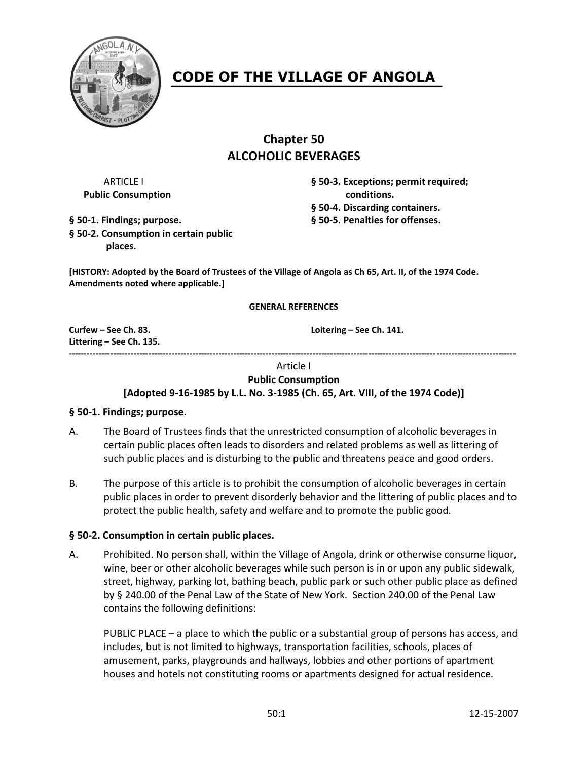

# **CODE OF THE VILLAGE OF ANGOLA**

# **Chapter 50 ALCOHOLIC BEVERAGES**

**Public Consumption conditions.** 

ARTICLE I **§ 50-3. Exceptions; permit required; § 50-4. Discarding containers.**

**§ 50-1. Findings; purpose. § 50-5. Penalties for offenses.**

**§ 50-2. Consumption in certain public places.**

**[HISTORY: Adopted by the Board of Trustees of the Village of Angola as Ch 65, Art. II, of the 1974 Code. Amendments noted where applicable.]**

#### **GENERAL REFERENCES**

**Littering – See Ch. 135. --------------------------------------------------------------------------------------------------------------------------------------------------------**

**Curfew – See Ch. 83. Loitering – See Ch. 141.**

# Article I

#### **Public Consumption**

**[Adopted 9-16-1985 by L.L. No. 3-1985 (Ch. 65, Art. VIII, of the 1974 Code)]**

#### **§ 50-1. Findings; purpose.**

- A. The Board of Trustees finds that the unrestricted consumption of alcoholic beverages in certain public places often leads to disorders and related problems as well as littering of such public places and is disturbing to the public and threatens peace and good orders.
- B. The purpose of this article is to prohibit the consumption of alcoholic beverages in certain public places in order to prevent disorderly behavior and the littering of public places and to protect the public health, safety and welfare and to promote the public good.

# **§ 50-2. Consumption in certain public places.**

A. Prohibited. No person shall, within the Village of Angola, drink or otherwise consume liquor, wine, beer or other alcoholic beverages while such person is in or upon any public sidewalk, street, highway, parking lot, bathing beach, public park or such other public place as defined by § 240.00 of the Penal Law of the State of New York. Section 240.00 of the Penal Law contains the following definitions:

PUBLIC PLACE – a place to which the public or a substantial group of persons has access, and includes, but is not limited to highways, transportation facilities, schools, places of amusement, parks, playgrounds and hallways, lobbies and other portions of apartment houses and hotels not constituting rooms or apartments designed for actual residence.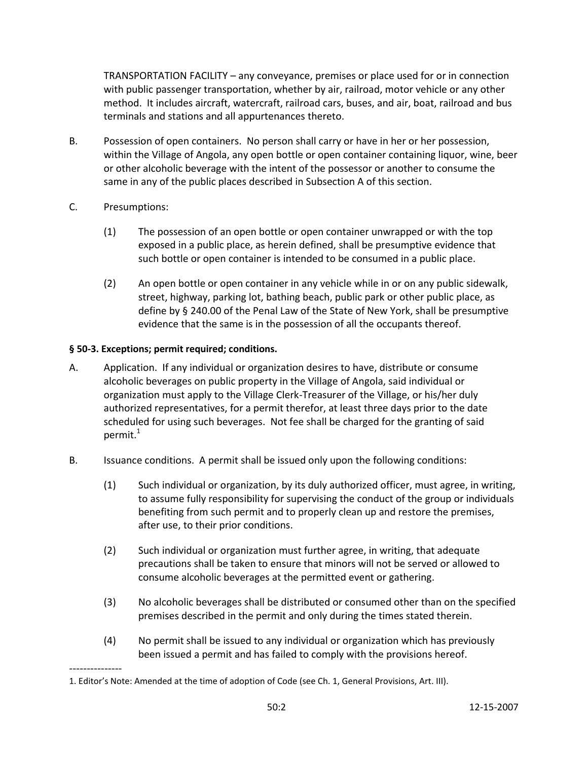TRANSPORTATION FACILITY – any conveyance, premises or place used for or in connection with public passenger transportation, whether by air, railroad, motor vehicle or any other method. It includes aircraft, watercraft, railroad cars, buses, and air, boat, railroad and bus terminals and stations and all appurtenances thereto.

- B. Possession of open containers. No person shall carry or have in her or her possession, within the Village of Angola, any open bottle or open container containing liquor, wine, beer or other alcoholic beverage with the intent of the possessor or another to consume the same in any of the public places described in Subsection A of this section.
- C. Presumptions:

---------------

- (1) The possession of an open bottle or open container unwrapped or with the top exposed in a public place, as herein defined, shall be presumptive evidence that such bottle or open container is intended to be consumed in a public place.
- (2) An open bottle or open container in any vehicle while in or on any public sidewalk, street, highway, parking lot, bathing beach, public park or other public place, as define by § 240.00 of the Penal Law of the State of New York, shall be presumptive evidence that the same is in the possession of all the occupants thereof.

# **§ 50-3. Exceptions; permit required; conditions.**

- A. Application. If any individual or organization desires to have, distribute or consume alcoholic beverages on public property in the Village of Angola, said individual or organization must apply to the Village Clerk-Treasurer of the Village, or his/her duly authorized representatives, for a permit therefor, at least three days prior to the date scheduled for using such beverages. Not fee shall be charged for the granting of said permit. $1$
- B. Issuance conditions. A permit shall be issued only upon the following conditions:
	- (1) Such individual or organization, by its duly authorized officer, must agree, in writing, to assume fully responsibility for supervising the conduct of the group or individuals benefiting from such permit and to properly clean up and restore the premises, after use, to their prior conditions.
	- (2) Such individual or organization must further agree, in writing, that adequate precautions shall be taken to ensure that minors will not be served or allowed to consume alcoholic beverages at the permitted event or gathering.
	- (3) No alcoholic beverages shall be distributed or consumed other than on the specified premises described in the permit and only during the times stated therein.
	- (4) No permit shall be issued to any individual or organization which has previously been issued a permit and has failed to comply with the provisions hereof.

<sup>1.</sup> Editor's Note: Amended at the time of adoption of Code (see Ch. 1, General Provisions, Art. III).